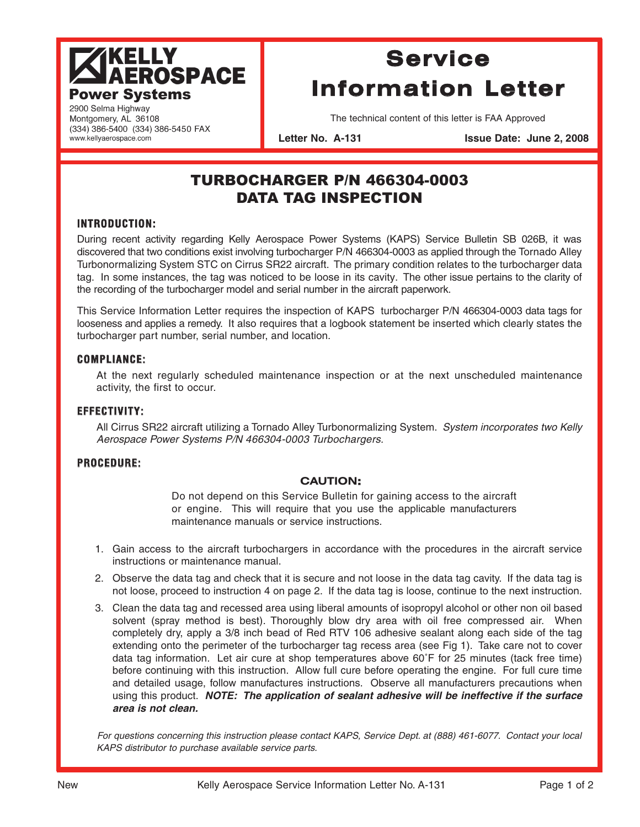# **AKELLY<br>AEROSPACE Power Systems**

## **Service Information Letter**

2900 Selma Highway Montgomery, AL 36108 (334) 386-5400 (334) 386-5450 FAX www.kellyaerospace.com

The technical content of this letter is FAA Approved

Letter No. A-131 **ISSUE Date: June 2, 2008** 

### TURBOCHARGER P/N 466304-0003 DATA TAG INSPECTION

#### **INTRODUCTION:**

During recent activity regarding Kelly Aerospace Power Systems (KAPS) Service Bulletin SB 026B, it was discovered that two conditions exist involving turbocharger P/N 466304-0003 as applied through the Tornado Alley Turbonormalizing System STC on Cirrus SR22 aircraft. The primary condition relates to the turbocharger data tag. In some instances, the tag was noticed to be loose in its cavity. The other issue pertains to the clarity of the recording of the turbocharger model and serial number in the aircraft paperwork.

This Service Information Letter requires the inspection of KAPS turbocharger P/N 466304-0003 data tags for looseness and applies a remedy. It also requires that a logbook statement be inserted which clearly states the turbocharger part number, serial number, and location.

#### **COMPLIANCE:**

At the next regularly scheduled maintenance inspection or at the next unscheduled maintenance activity, the first to occur.

#### **EFFECTIVITY:**

All Cirrus SR22 aircraft utilizing a Tornado Alley Turbonormalizing System. System incorporates two Kelly Aerospace Power Systems P/N 466304-0003 Turbochargers.

#### **PROCEDURE:**

#### **CAUTION:**

Do not depend on this Service Bulletin for gaining access to the aircraft or engine. This will require that you use the applicable manufacturers maintenance manuals or service instructions.

- 1. Gain access to the aircraft turbochargers in accordance with the procedures in the aircraft service instructions or maintenance manual.
- 2. Observe the data tag and check that it is secure and not loose in the data tag cavity. If the data tag is not loose, proceed to instruction 4 on page 2. If the data tag is loose, continue to the next instruction.
- 3. Clean the data tag and recessed area using liberal amounts of isopropyl alcohol or other non oil based solvent (spray method is best). Thoroughly blow dry area with oil free compressed air. When completely dry, apply a 3/8 inch bead of Red RTV 106 adhesive sealant along each side of the tag extending onto the perimeter of the turbocharger tag recess area (see Fig 1). Take care not to cover data tag information. Let air cure at shop temperatures above 60˚F for 25 minutes (tack free time) before continuing with this instruction. Allow full cure before operating the engine. For full cure time and detailed usage, follow manufactures instructions. Observe all manufacturers precautions when using this product. **NOTE: The application of sealant adhesive will be ineffective if the surface area is not clean.**

For questions concerning this instruction please contact KAPS, Service Dept. at (888) 461-6077. Contact your local KAPS distributor to purchase available service parts.